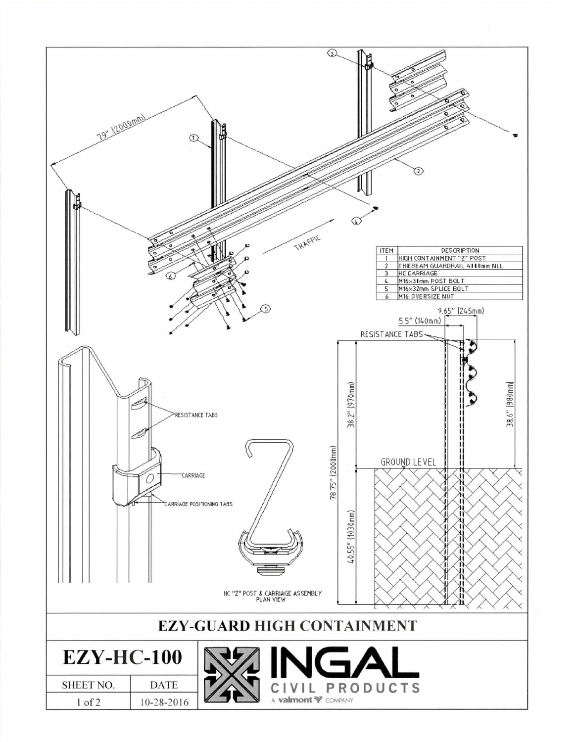| 79" 1200 pmm)<br>ന                            | ல<br>⊙<br>4<br>TRAFFIC<br><b>DESCRIPTION</b><br><b>ITEM</b><br>HIGH CONTAINMENT "Z" POST<br>$\overline{1}$<br>$\hat{z}$<br>THIEBEAM GUARDRAIL 4110mm NLL<br><b>HC CARRIAGE</b><br>Э<br>M16x31mm POST BOLT<br>4<br>M16×32mm SPLICE BOLT<br>5<br>M16 OVERSIZE NUT<br>6<br>G)<br>9.65" (245mm)<br>$5.5''$ (140mm) |  |  |  |
|-----------------------------------------------|----------------------------------------------------------------------------------------------------------------------------------------------------------------------------------------------------------------------------------------------------------------------------------------------------------------|--|--|--|
| RESISTANCE TABS<br><b>CARRIAGE</b>            | RESISTANCE TABS<br>$38.2''$ (970mm)<br>38.6"  980mm<br>78.75" (2000mm)<br>GROUND LEVEL<br>л<br>п<br>CARRIAGE POSITIONING TABS<br>40.55" (1030mm)<br>Ш<br>Ш<br>HC "Z" POST & CARRIAGE ASSEMBLY<br>л                                                                                                             |  |  |  |
| <b>EZY-GUARD HIGH CONTAINMENT</b>             |                                                                                                                                                                                                                                                                                                                |  |  |  |
|                                               |                                                                                                                                                                                                                                                                                                                |  |  |  |
| <b>EZY-HC-100</b><br>SHEET NO.<br><b>DATE</b> | INGA                                                                                                                                                                                                                                                                                                           |  |  |  |
| 10-28-2016<br>$1$ of $2$                      | <b>PRODUCTS</b><br>A <b>valmont V</b> COMPANY                                                                                                                                                                                                                                                                  |  |  |  |